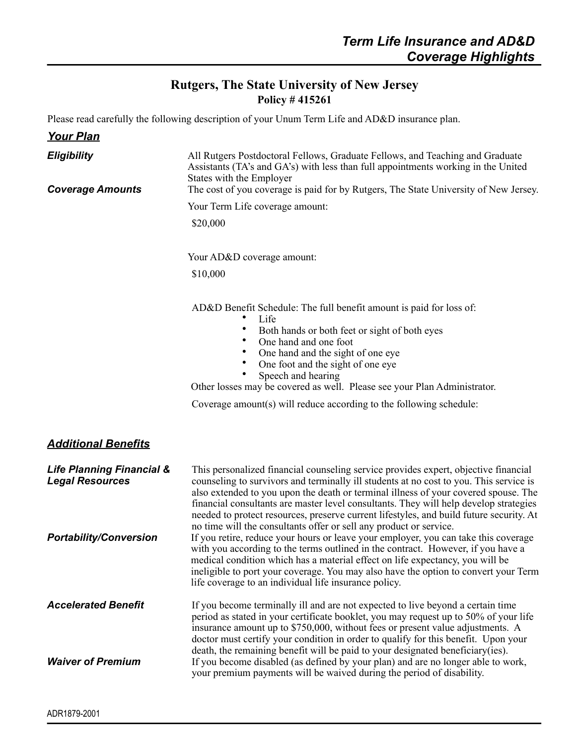## **Rutgers, The State University of New Jersey Policy # 415261**

Please read carefully the following description of your Unum Term Life and AD&D insurance plan.

| <b>Your Plan</b>                                               |                                                                                                                                                                                                                                                                                                                                                                                                                                                                                                                                |
|----------------------------------------------------------------|--------------------------------------------------------------------------------------------------------------------------------------------------------------------------------------------------------------------------------------------------------------------------------------------------------------------------------------------------------------------------------------------------------------------------------------------------------------------------------------------------------------------------------|
| <b>Eligibility</b><br><b>Coverage Amounts</b>                  | All Rutgers Postdoctoral Fellows, Graduate Fellows, and Teaching and Graduate<br>Assistants (TA's and GA's) with less than full appointments working in the United<br>States with the Employer<br>The cost of you coverage is paid for by Rutgers, The State University of New Jersey.                                                                                                                                                                                                                                         |
|                                                                | Your Term Life coverage amount:                                                                                                                                                                                                                                                                                                                                                                                                                                                                                                |
|                                                                | \$20,000                                                                                                                                                                                                                                                                                                                                                                                                                                                                                                                       |
|                                                                | Your AD&D coverage amount:                                                                                                                                                                                                                                                                                                                                                                                                                                                                                                     |
|                                                                | \$10,000                                                                                                                                                                                                                                                                                                                                                                                                                                                                                                                       |
|                                                                | AD&D Benefit Schedule: The full benefit amount is paid for loss of:<br>Life<br>Both hands or both feet or sight of both eyes<br>One hand and one foot<br>One hand and the sight of one eye<br>One foot and the sight of one eye<br>Speech and hearing<br>Other losses may be covered as well. Please see your Plan Administrator.<br>Coverage amount(s) will reduce according to the following schedule:                                                                                                                       |
| <b>Additional Benefits</b>                                     |                                                                                                                                                                                                                                                                                                                                                                                                                                                                                                                                |
| <b>Life Planning Financial &amp;</b><br><b>Legal Resources</b> | This personalized financial counseling service provides expert, objective financial<br>counseling to survivors and terminally ill students at no cost to you. This service is<br>also extended to you upon the death or terminal illness of your covered spouse. The<br>financial consultants are master level consultants. They will help develop strategies<br>needed to protect resources, preserve current lifestyles, and build future security. At<br>no time will the consultants offer or sell any product or service. |
| <b>Portability/Conversion</b>                                  | If you retire, reduce your hours or leave your employer, you can take this coverage<br>with you according to the terms outlined in the contract. However, if you have a<br>medical condition which has a material effect on life expectancy, you will be<br>ineligible to port your coverage. You may also have the option to convert your Term<br>life coverage to an individual life insurance policy.                                                                                                                       |
| <b>Accelerated Benefit</b>                                     | If you become terminally ill and are not expected to live beyond a certain time<br>period as stated in your certificate booklet, you may request up to 50% of your life<br>insurance amount up to \$750,000, without fees or present value adjustments. A<br>doctor must certify your condition in order to qualify for this benefit. Upon your                                                                                                                                                                                |
| <b>Waiver of Premium</b>                                       | death, the remaining benefit will be paid to your designated beneficiary (ies).<br>If you become disabled (as defined by your plan) and are no longer able to work,<br>your premium payments will be waived during the period of disability.                                                                                                                                                                                                                                                                                   |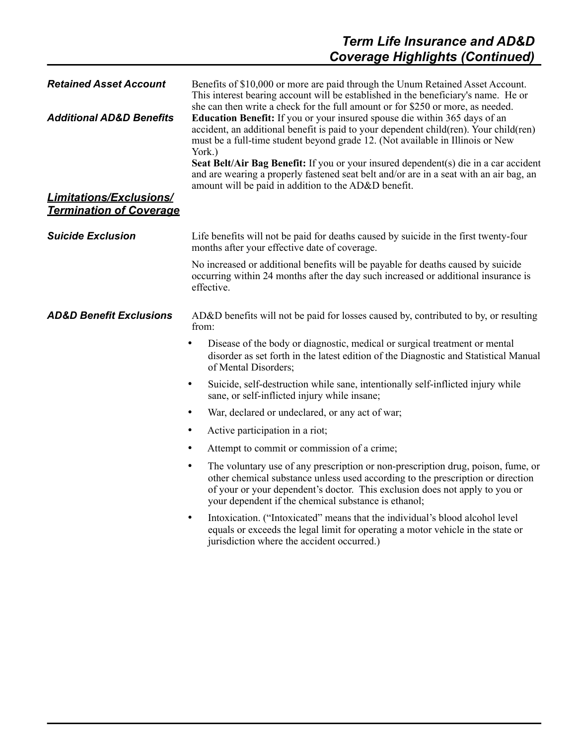| <b>Retained Asset Account</b><br><b>Additional AD&amp;D Benefits</b><br><b>Limitations/Exclusions/</b><br><b>Termination of Coverage</b> | Benefits of \$10,000 or more are paid through the Unum Retained Asset Account.<br>This interest bearing account will be established in the beneficiary's name. He or<br>she can then write a check for the full amount or for \$250 or more, as needed.<br>Education Benefit: If you or your insured spouse die within 365 days of an<br>accident, an additional benefit is paid to your dependent child(ren). Your child(ren)<br>must be a full-time student beyond grade 12. (Not available in Illinois or New<br>York.)<br>Seat Belt/Air Bag Benefit: If you or your insured dependent(s) die in a car accident<br>and are wearing a properly fastened seat belt and/or are in a seat with an air bag, an<br>amount will be paid in addition to the AD&D benefit. |
|------------------------------------------------------------------------------------------------------------------------------------------|----------------------------------------------------------------------------------------------------------------------------------------------------------------------------------------------------------------------------------------------------------------------------------------------------------------------------------------------------------------------------------------------------------------------------------------------------------------------------------------------------------------------------------------------------------------------------------------------------------------------------------------------------------------------------------------------------------------------------------------------------------------------|
| <b>Suicide Exclusion</b>                                                                                                                 | Life benefits will not be paid for deaths caused by suicide in the first twenty-four<br>months after your effective date of coverage.                                                                                                                                                                                                                                                                                                                                                                                                                                                                                                                                                                                                                                |
|                                                                                                                                          | No increased or additional benefits will be payable for deaths caused by suicide<br>occurring within 24 months after the day such increased or additional insurance is<br>effective.                                                                                                                                                                                                                                                                                                                                                                                                                                                                                                                                                                                 |
| <b>AD&amp;D Benefit Exclusions</b>                                                                                                       | AD&D benefits will not be paid for losses caused by, contributed to by, or resulting<br>from:                                                                                                                                                                                                                                                                                                                                                                                                                                                                                                                                                                                                                                                                        |
|                                                                                                                                          | Disease of the body or diagnostic, medical or surgical treatment or mental<br>$\bullet$<br>disorder as set forth in the latest edition of the Diagnostic and Statistical Manual<br>of Mental Disorders;                                                                                                                                                                                                                                                                                                                                                                                                                                                                                                                                                              |
|                                                                                                                                          | Suicide, self-destruction while sane, intentionally self-inflicted injury while<br>$\bullet$<br>sane, or self-inflicted injury while insane;                                                                                                                                                                                                                                                                                                                                                                                                                                                                                                                                                                                                                         |
|                                                                                                                                          | War, declared or undeclared, or any act of war;<br>$\bullet$                                                                                                                                                                                                                                                                                                                                                                                                                                                                                                                                                                                                                                                                                                         |
|                                                                                                                                          | Active participation in a riot;<br>$\bullet$                                                                                                                                                                                                                                                                                                                                                                                                                                                                                                                                                                                                                                                                                                                         |
|                                                                                                                                          | Attempt to commit or commission of a crime;<br>$\bullet$                                                                                                                                                                                                                                                                                                                                                                                                                                                                                                                                                                                                                                                                                                             |
|                                                                                                                                          | The voluntary use of any prescription or non-prescription drug, poison, fume, or<br>$\bullet$<br>other chemical substance unless used according to the prescription or direction<br>of your or your dependent's doctor. This exclusion does not apply to you or<br>your dependent if the chemical substance is ethanol;                                                                                                                                                                                                                                                                                                                                                                                                                                              |
|                                                                                                                                          | Intoxication. ("Intoxicated" means that the individual's blood alcohol level<br>$\bullet$<br>equals or exceeds the legal limit for operating a motor vehicle in the state or<br>jurisdiction where the accident occurred.)                                                                                                                                                                                                                                                                                                                                                                                                                                                                                                                                           |